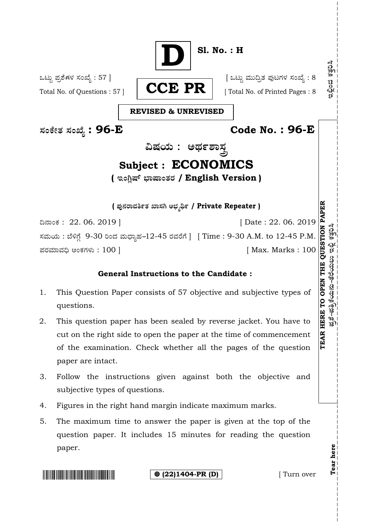

# 1. This Question Paper consists of 57 objective and subjective types of

- 2. This question paper has been sealed by reverse jacket. You have to cut on the right side to open the paper at the time of commencement of the examination. Check whether all the pages of the question paper are intact.
- 3. Follow the instructions given against both the objective and subjective types of questions.
- 4. Figures in the right hand margin indicate maximum marks.
- 5. The maximum time to answer the paper is given at the top of the question paper. It includes 15 minutes for reading the question paper.

questions.

**(22)1404-PR (D)** [ Turn over

**Tear here** 

Tear here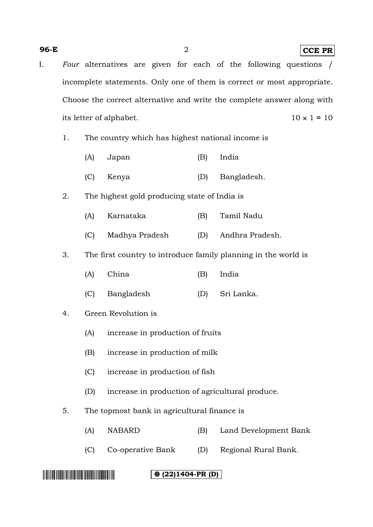#### **96-E** 2 **CCE PR**

- I. *Four* alternatives are given for each of the following questions / incomplete statements. Only one of them is correct or most appropriate. Choose the correct alternative and write the complete answer along with its letter of alphabet.  $10 \times 1 = 10$ 
	- 1. The country which has highest national income is
		- (A) Japan (B) India
		- (C) Kenya (D) Bangladesh.
	- 2. The highest gold producing state of India is
		- (A) Karnataka (B) Tamil Nadu
		- (C) Madhya Pradesh (D) Andhra Pradesh.
	- 3. The first country to introduce family planning in the world is
		- (A) China (B) India
		- (C) Bangladesh (D) Sri Lanka.
	- 4. Green Revolution is
		- (A) increase in production of fruits
		- (B) increase in production of milk
		- (C) increase in production of fish
		- (D) increase in production of agricultural produce.
	- 5. The topmost bank in agricultural finance is
		- (A) NABARD (B) Land Development Bank
		- (C) Co-operative Bank (D) Regional Rural Bank.

###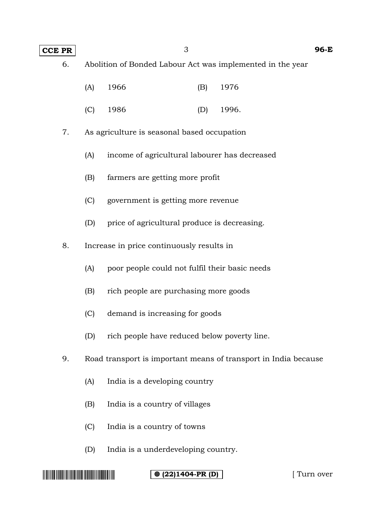**CCE PR** 3 96-E

6. Abolition of Bonded Labour Act was implemented in the year

| $(A)$ 1966 | (B) 1976 |
|------------|----------|
|------------|----------|

- (C) 1986 (D) 1996.
- 7. As agriculture is seasonal based occupation
	- (A) income of agricultural labourer has decreased
	- (B) farmers are getting more profit
	- (C) government is getting more revenue
	- (D) price of agricultural produce is decreasing.
- 8. Increase in price continuously results in
	- (A) poor people could not fulfil their basic needs
	- (B) rich people are purchasing more goods
	- (C) demand is increasing for goods
	- (D) rich people have reduced below poverty line.
- 9. Road transport is important means of transport in India because
	- (A) India is a developing country
	- (B) India is a country of villages
	- (C) India is a country of towns
	- (D) India is a underdeveloping country.

#### **(22)1404-PR (D)** [ Turn over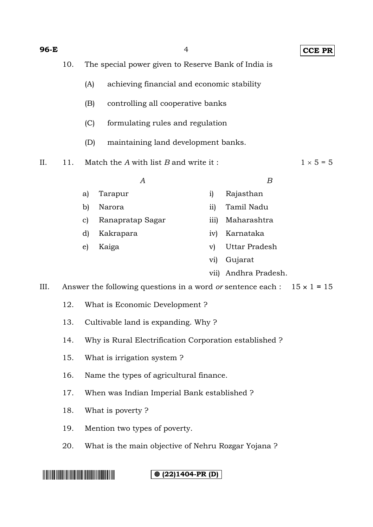| 96-E                                                         |                                                                                                                                          |                                                     | $\overline{4}$                                                                        |                  |                  | <b>CCE PR</b>    |  |  |
|--------------------------------------------------------------|------------------------------------------------------------------------------------------------------------------------------------------|-----------------------------------------------------|---------------------------------------------------------------------------------------|------------------|------------------|------------------|--|--|
|                                                              | 10.                                                                                                                                      | The special power given to Reserve Bank of India is |                                                                                       |                  |                  |                  |  |  |
|                                                              | achieving financial and economic stability<br>(A)<br>(B)<br>controlling all cooperative banks<br>(C)<br>formulating rules and regulation |                                                     |                                                                                       |                  |                  |                  |  |  |
|                                                              |                                                                                                                                          |                                                     |                                                                                       |                  |                  |                  |  |  |
|                                                              |                                                                                                                                          |                                                     |                                                                                       |                  |                  |                  |  |  |
|                                                              |                                                                                                                                          | (D)                                                 | maintaining land development banks.                                                   |                  |                  |                  |  |  |
| II.                                                          | 11.                                                                                                                                      |                                                     | Match the $A$ with list $B$ and write it:                                             |                  |                  | $1 \times 5 = 5$ |  |  |
|                                                              |                                                                                                                                          |                                                     | А                                                                                     |                  | $\boldsymbol{B}$ |                  |  |  |
|                                                              |                                                                                                                                          | a)                                                  | Tarapur                                                                               | i)               | Rajasthan        |                  |  |  |
|                                                              |                                                                                                                                          | b)                                                  | Narora                                                                                | $\overline{11}$  | Tamil Nadu       |                  |  |  |
|                                                              |                                                                                                                                          | $\mathbf{c}$                                        | Ranapratap Sagar                                                                      | $\overline{111}$ | Maharashtra      |                  |  |  |
|                                                              |                                                                                                                                          | d)                                                  | Kakrapara                                                                             | iv)              | Karnataka        |                  |  |  |
|                                                              |                                                                                                                                          | e)                                                  | Kaiga                                                                                 | $\mathbf{v})$    | Uttar Pradesh    |                  |  |  |
|                                                              |                                                                                                                                          |                                                     |                                                                                       | $\rm{vi)}$       | Gujarat          |                  |  |  |
|                                                              |                                                                                                                                          |                                                     |                                                                                       | vii)             | Andhra Pradesh.  |                  |  |  |
| III.                                                         |                                                                                                                                          |                                                     | Answer the following questions in a word <i>or</i> sentence each : $15 \times 1 = 15$ |                  |                  |                  |  |  |
|                                                              | 12.                                                                                                                                      | What is Economic Development?                       |                                                                                       |                  |                  |                  |  |  |
|                                                              | 13.<br>Cultivable land is expanding. Why?                                                                                                |                                                     |                                                                                       |                  |                  |                  |  |  |
| 14.<br>Why is Rural Electrification Corporation established? |                                                                                                                                          |                                                     |                                                                                       |                  |                  |                  |  |  |
|                                                              | What is irrigation system?<br>15.                                                                                                        |                                                     |                                                                                       |                  |                  |                  |  |  |
| 16.<br>Name the types of agricultural finance.               |                                                                                                                                          |                                                     |                                                                                       |                  |                  |                  |  |  |
|                                                              | 17.<br>When was Indian Imperial Bank established?                                                                                        |                                                     |                                                                                       |                  |                  |                  |  |  |
|                                                              | 18.                                                                                                                                      | What is poverty?                                    |                                                                                       |                  |                  |                  |  |  |
|                                                              | 19.                                                                                                                                      | Mention two types of poverty.                       |                                                                                       |                  |                  |                  |  |  |
|                                                              | 20.                                                                                                                                      | What is the main objective of Nehru Rozgar Yojana?  |                                                                                       |                  |                  |                  |  |  |
|                                                              |                                                                                                                                          |                                                     |                                                                                       |                  |                  |                  |  |  |
|                                                              |                                                                                                                                          |                                                     | $@ (22)1404-PR (D)$                                                                   |                  |                  |                  |  |  |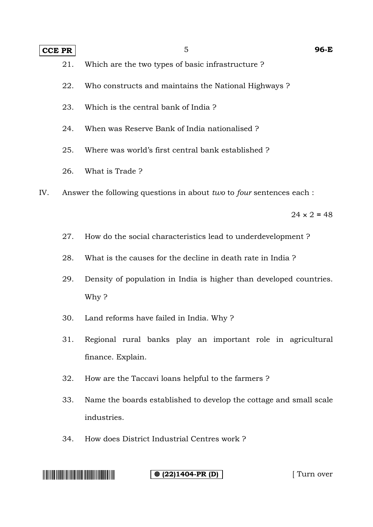#### **CCE PR** 5 **96-E**

21. Which are the two types of basic infrastructure ?

- 22. Who constructs and maintains the National Highways ?
- 23. Which is the central bank of India ?
- 24. When was Reserve Bank of India nationalised ?
- 25. Where was world's first central bank established ?
- 26. What is Trade ?
- IV. Answer the following questions in about *two* to *four* sentences each :

 $24 \times 2 = 48$ 

- 27. How do the social characteristics lead to underdevelopment ?
- 28. What is the causes for the decline in death rate in India ?
- 29. Density of population in India is higher than developed countries. Why ?
- 30. Land reforms have failed in India. Why ?
- 31. Regional rural banks play an important role in agricultural finance. Explain.
- 32. How are the Taccavi loans helpful to the farmers ?
- 33. Name the boards established to develop the cottage and small scale industries.
- 34. How does District Industrial Centres work ?

**(22)1404-PR (D)** [ Turn over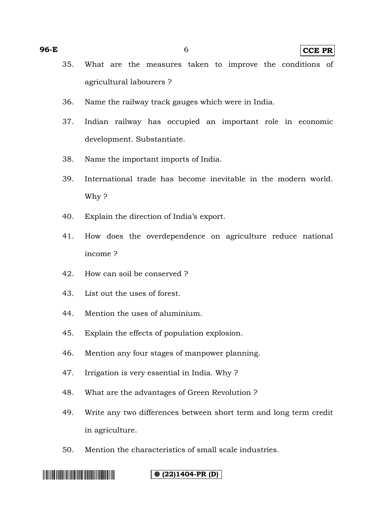**96-E** 6 **CCE PR**

- 35. What are the measures taken to improve the conditions of agricultural labourers ?
- 36. Name the railway track gauges which were in India.
- 37. Indian railway has occupied an important role in economic development. Substantiate.
- 38. Name the important imports of India.
- 39. International trade has become inevitable in the modern world. Why ?
- 40. Explain the direction of India's export.
- 41. How does the overdependence on agriculture reduce national income ?
- 42. How can soil be conserved ?
- 43. List out the uses of forest.
- 44. Mention the uses of aluminium.
- 45. Explain the effects of population explosion.
- 46. Mention any four stages of manpower planning.
- 47. Irrigation is very essential in India. Why ?
- 48. What are the advantages of Green Revolution ?
- 49. Write any two differences between short term and long term credit in agriculture.
- 50. Mention the characteristics of small scale industries.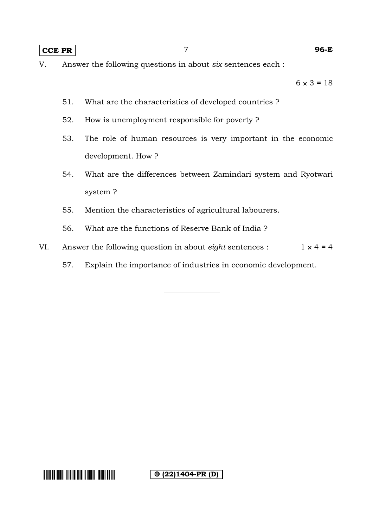#### **CCE PR** 7 **96-E**

 $6 \times 3 = 18$ 

- 51. What are the characteristics of developed countries ?
- 52. How is unemployment responsible for poverty ?
- 53. The role of human resources is very important in the economic development. How ?
- 54. What are the differences between Zamindari system and Ryotwari system ?
- 55. Mention the characteristics of agricultural labourers.
- 56. What are the functions of Reserve Bank of India ?
- VI. Answer the following question in about *eight* sentences :  $1 \times 4 = 4$ 
	- 57. Explain the importance of industries in economic development.

**(** $\odot$  (22)1404-PR (D)